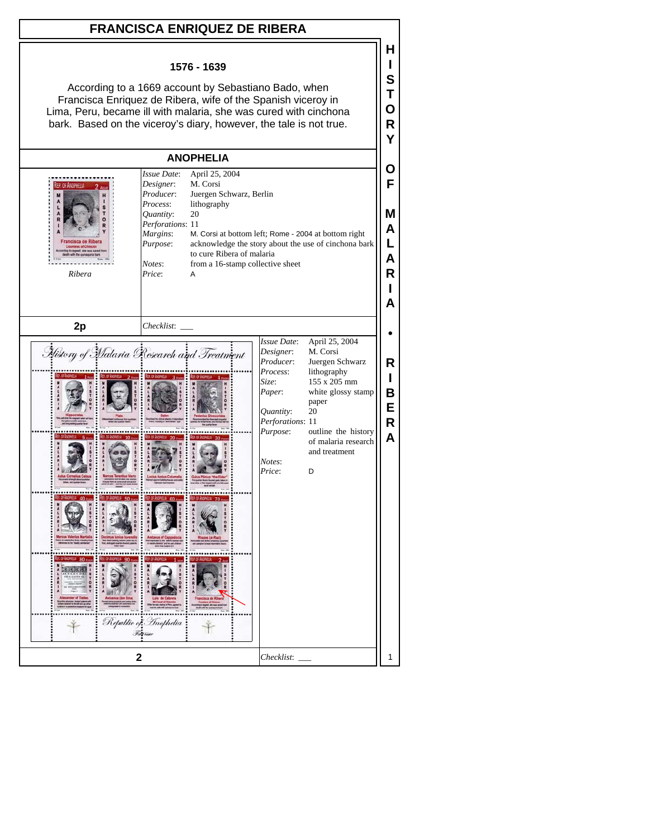